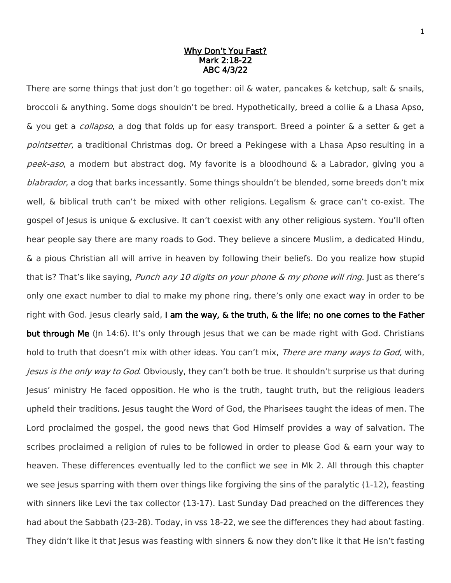#### Why Don't You Fast? Mark 2:18-22 ABC 4/3/22

There are some things that just don't go together: oil & water, pancakes & ketchup, salt & snails, broccoli & anything. Some dogs shouldn't be bred. Hypothetically, breed a collie & a Lhasa Apso, & you get a collapso, a dog that folds up for easy transport. Breed a pointer & a setter & get a pointsetter, a traditional Christmas dog. Or breed a Pekingese with a Lhasa Apso resulting in a peek-aso, a modern but abstract dog. My favorite is a bloodhound & a Labrador, giving you a blabrador, a dog that barks incessantly. Some things shouldn't be blended, some breeds don't mix well, & biblical truth can't be mixed with other religions. Legalism & grace can't co-exist. The gospel of Jesus is unique & exclusive. It can't coexist with any other religious system. You'll often hear people say there are many roads to God. They believe a sincere Muslim, a dedicated Hindu, & a pious Christian all will arrive in heaven by following their beliefs. Do you realize how stupid that is? That's like saying, *Punch any 10 digits on your phone & my phone will ring*. Just as there's only one exact number to dial to make my phone ring, there's only one exact way in order to be right with God. Jesus clearly said, I am the way,  $\&$  the truth,  $\&$  the life; no one comes to the Father but through Me (Jn 14:6). It's only through Jesus that we can be made right with God. Christians hold to truth that doesn't mix with other ideas. You can't mix, There are many ways to God, with, Jesus is the only way to God. Obviously, they can't both be true. It shouldn't surprise us that during Jesus' ministry He faced opposition. He who is the truth, taught truth, but the religious leaders upheld their traditions. Jesus taught the Word of God, the Pharisees taught the ideas of men. The Lord proclaimed the gospel, the good news that God Himself provides a way of salvation. The scribes proclaimed a religion of rules to be followed in order to please God & earn your way to heaven. These differences eventually led to the conflict we see in Mk 2. All through this chapter we see Jesus sparring with them over things like forgiving the sins of the paralytic (1-12), feasting with sinners like Levi the tax collector (13-17). Last Sunday Dad preached on the differences they had about the Sabbath (23-28). Today, in vss 18-22, we see the differences they had about fasting. They didn't like it that Jesus was feasting with sinners & now they don't like it that He isn't fasting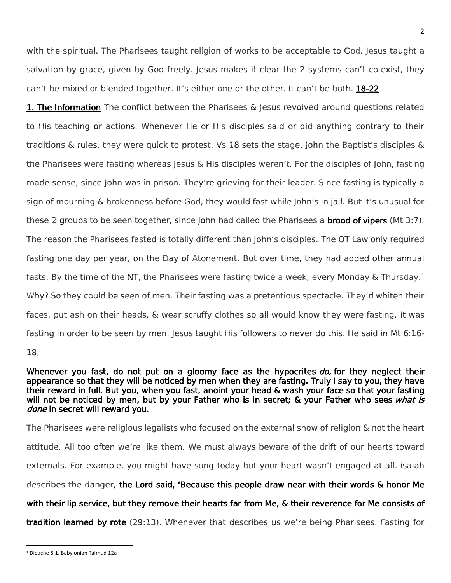with the spiritual. The Pharisees taught religion of works to be acceptable to God. Jesus taught a salvation by grace, given by God freely. Jesus makes it clear the 2 systems can't co-exist, they can't be mixed or blended together. It's either one or the other. It can't be both. 18-22

**1. The Information** The conflict between the Pharisees & Jesus revolved around questions related to His teaching or actions. Whenever He or His disciples said or did anything contrary to their traditions & rules, they were quick to protest. Vs 18 sets the stage. John the Baptist's disciples & the Pharisees were fasting whereas Jesus & His disciples weren't. For the disciples of John, fasting made sense, since John was in prison. They're grieving for their leader. Since fasting is typically a sign of mourning & brokenness before God, they would fast while John's in jail. But it's unusual for these 2 groups to be seen together, since John had called the Pharisees a **brood of vipers** (Mt 3:7). The reason the Pharisees fasted is totally different than John's disciples. The OT Law only required fasting one day per year, on the Day of Atonement. But over time, they had added other annual fasts. By the time of the NT, the Pharisees were fasting twice a week, every Monday & Thursday.<sup>1</sup> Why? So they could be seen of men. Their fasting was a pretentious spectacle. They'd whiten their faces, put ash on their heads, & wear scruffy clothes so all would know they were fasting. It was fasting in order to be seen by men. Jesus taught His followers to never do this. He said in Mt 6:16-

18,

 $\overline{a}$ 

Whenever you fast, do not put on a gloomy face as the hypocrites do, for they neglect their appearance so that they will be noticed by men when they are fasting. Truly I say to you, they have their reward in full. But you, when you fast, anoint your head & wash your face so that your fasting will not be noticed by men, but by your Father who is in secret; & your Father who sees what is done in secret will reward you.

The Pharisees were religious legalists who focused on the external show of religion & not the heart attitude. All too often we're like them. We must always beware of the drift of our hearts toward externals. For example, you might have sung today but your heart wasn't engaged at all. Isaiah describes the danger, the Lord said, 'Because this people draw near with their words & honor Me with their lip service, but they remove their hearts far from Me, & their reverence for Me consists of

tradition learned by rote (29:13). Whenever that describes us we're being Pharisees. Fasting for

<sup>1</sup> Didache 8:1, Babylonian Talmud 12a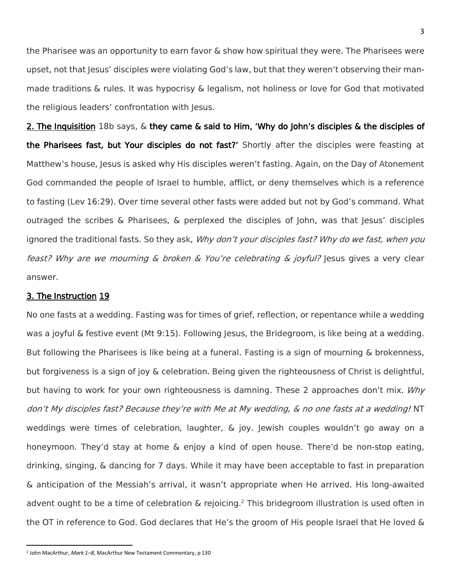the Pharisee was an opportunity to earn favor & show how spiritual they were. The Pharisees were upset, not that Jesus' disciples were violating God's law, but that they weren't observing their manmade traditions & rules. It was hypocrisy & legalism, not holiness or love for God that motivated the religious leaders' confrontation with Jesus.

2. The Inquisition 18b says, & they came & said to Him, 'Why do John's disciples & the disciples of the Pharisees fast, but Your disciples do not fast?' Shortly after the disciples were feasting at Matthew's house, Jesus is asked why His disciples weren't fasting. Again, on the Day of Atonement God commanded the people of Israel to humble, afflict, or deny themselves which is a reference to fasting (Lev 16:29). Over time several other fasts were added but not by God's command. What outraged the scribes & Pharisees, & perplexed the disciples of John, was that Jesus' disciples ignored the traditional fasts. So they ask, Why don't your disciples fast? Why do we fast, when you feast? Why are we mourning & broken & You're celebrating & joyful? Jesus gives a very clear answer.

# 3. The Instruction 19

 $\overline{a}$ 

No one fasts at a wedding. Fasting was for times of grief, reflection, or repentance while a wedding was a joyful & festive event (Mt 9:15). Following Jesus, the Bridegroom, is like being at a wedding. But following the Pharisees is like being at a funeral. Fasting is a sign of mourning & brokenness, but forgiveness is a sign of joy & celebration. Being given the righteousness of Christ is delightful, but having to work for your own righteousness is damning. These 2 approaches don't mix. Why don't My disciples fast? Because they're with Me at My wedding, & no one fasts at a wedding! NT weddings were times of celebration, laughter, & joy. Jewish couples wouldn't go away on a honeymoon. They'd stay at home & enjoy a kind of open house. There'd be non-stop eating, drinking, singing, & dancing for 7 days. While it may have been acceptable to fast in preparation & anticipation of the Messiah's arrival, it wasn't appropriate when He arrived. His long-awaited advent ought to be a time of celebration  $\&$  rejoicing.<sup>2</sup> This bridegroom illustration is used often in the OT in reference to God. God declares that He's the groom of His people Israel that He loved &

<sup>2</sup> John MacArthur, *Mark 1–8*, MacArthur New Testament Commentary, p 130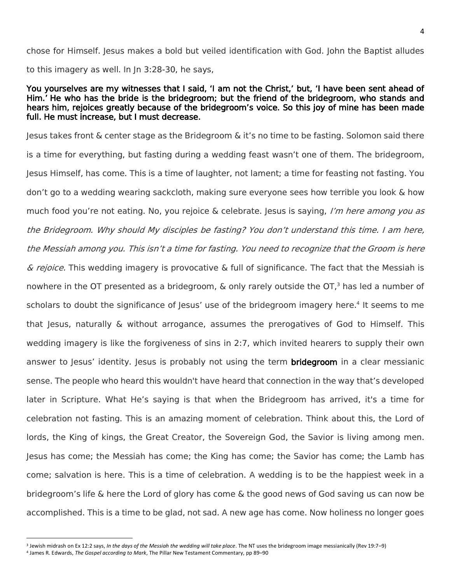chose for Himself. Jesus makes a bold but veiled identification with God. John the Baptist alludes to this imagery as well. In Jn 3:28-30, he says,

### You yourselves are my witnesses that I said, 'I am not the Christ,' but, 'I have been sent ahead of Him.' He who has the bride is the bridegroom; but the friend of the bridegroom, who stands and hears him, rejoices greatly because of the bridegroom's voice. So this joy of mine has been made full. He must increase, but I must decrease.

Jesus takes front & center stage as the Bridegroom & it's no time to be fasting. Solomon said there is a time for everything, but fasting during a wedding feast wasn't one of them. The bridegroom, Jesus Himself, has come. This is a time of laughter, not lament; a time for feasting not fasting. You don't go to a wedding wearing sackcloth, making sure everyone sees how terrible you look & how much food you're not eating. No, you rejoice & celebrate. Jesus is saying, *I'm here among you as* the Bridegroom. Why should My disciples be fasting? You don't understand this time. I am here, the Messiah among you. This isn't a time for fasting. You need to recognize that the Groom is here  $\&$  rejoice. This wedding imagery is provocative  $\&$  full of significance. The fact that the Messiah is nowhere in the OT presented as a bridegroom,  $\&$  only rarely outside the OT, $3$  has led a number of scholars to doubt the significance of Jesus' use of the bridegroom imagery here.<sup>4</sup> It seems to me that Jesus, naturally & without arrogance, assumes the prerogatives of God to Himself. This wedding imagery is like the forgiveness of sins in 2:7, which invited hearers to supply their own answer to Jesus' identity. Jesus is probably not using the term **bridegroom** in a clear messianic sense. The people who heard this wouldn't have heard that connection in the way that's developed later in Scripture. What He's saying is that when the Bridegroom has arrived, it's a time for celebration not fasting. This is an amazing moment of celebration. Think about this, the Lord of lords, the King of kings, the Great Creator, the Sovereign God, the Savior is living among men. Jesus has come; the Messiah has come; the King has come; the Savior has come; the Lamb has come; salvation is here. This is a time of celebration. A wedding is to be the happiest week in a bridegroom's life & here the Lord of glory has come & the good news of God saving us can now be accomplished. This is a time to be glad, not sad. A new age has come. Now holiness no longer goes

 $\overline{\phantom{a}}$ 

<sup>3</sup> Jewish midrash on Ex 12:2 says, *In the days of the Messiah the wedding will take place*. The NT uses the bridegroom image messianically (Rev 19:7–9)

<sup>4</sup> James R. Edwards, *The Gospel according to Mark*, The Pillar New Testament Commentary, pp 89–90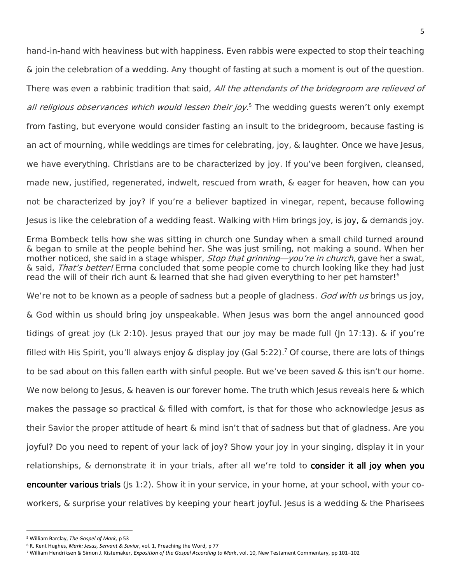hand-in-hand with heaviness but with happiness. Even rabbis were expected to stop their teaching & join the celebration of a wedding. Any thought of fasting at such a moment is out of the question. There was even a rabbinic tradition that said, All the attendants of the bridegroom are relieved of all religious observances which would lessen their joy.<sup>5</sup> The wedding guests weren't only exempt from fasting, but everyone would consider fasting an insult to the bridegroom, because fasting is an act of mourning, while weddings are times for celebrating, joy, & laughter. Once we have Jesus, we have everything. Christians are to be characterized by joy. If you've been forgiven, cleansed, made new, justified, regenerated, indwelt, rescued from wrath, & eager for heaven, how can you not be characterized by joy? If you're a believer baptized in vinegar, repent, because following Jesus is like the celebration of a wedding feast. Walking with Him brings joy, is joy, & demands joy.

Erma Bombeck tells how she was sitting in church one Sunday when a small child turned around & began to smile at the people behind her. She was just smiling, not making a sound. When her mother noticed, she said in a stage whisper, *Stop that grinning—you're in church*, gave her a swat, & said, That's better! Erma concluded that some people come to church looking like they had just read the will of their rich aunt & learned that she had given everything to her pet hamster!<sup>6</sup>

We're not to be known as a people of sadness but a people of gladness. God with us brings us joy, & God within us should bring joy unspeakable. When Jesus was born the angel announced good tidings of great joy (Lk 2:10). Jesus prayed that our joy may be made full (Jn 17:13). & if you're filled with His Spirit, you'll always enjoy & display joy (Gal 5:22). <sup>7</sup> Of course, there are lots of things to be sad about on this fallen earth with sinful people. But we've been saved & this isn't our home. We now belong to Jesus, & heaven is our forever home. The truth which Jesus reveals here & which makes the passage so practical & filled with comfort, is that for those who acknowledge Jesus as their Savior the proper attitude of heart & mind isn't that of sadness but that of gladness. Are you joyful? Do you need to repent of your lack of joy? Show your joy in your singing, display it in your relationships, & demonstrate it in your trials, after all we're told to consider it all joy when you encounter various trials ( $|s\ 1:2\rangle$ . Show it in your service, in your home, at your school, with your coworkers, & surprise your relatives by keeping your heart joyful. Jesus is a wedding & the Pharisees

 $\overline{\phantom{a}}$ 

<sup>5</sup> William Barclay, *The Gospel of Mark,* p 53

<sup>6</sup> R. Kent Hughes, *Mark: Jesus, Servant & Savior*, vol. 1, Preaching the Word, p 77

<sup>7</sup> William Hendriksen & Simon J. Kistemaker, *Exposition of the Gospel According to Mark*, vol. 10, New Testament Commentary, pp 101–102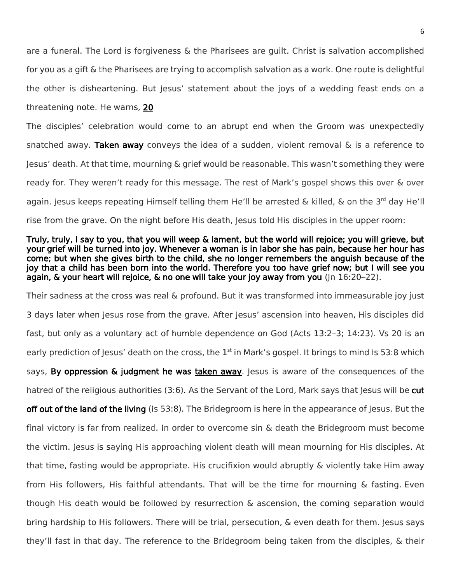are a funeral. The Lord is forgiveness & the Pharisees are guilt. Christ is salvation accomplished for you as a gift & the Pharisees are trying to accomplish salvation as a work. One route is delightful the other is disheartening. But Jesus' statement about the joys of a wedding feast ends on a threatening note. He warns, 20

The disciples' celebration would come to an abrupt end when the Groom was unexpectedly snatched away. Taken away conveys the idea of a sudden, violent removal  $\&$  is a reference to Jesus' death. At that time, mourning & grief would be reasonable. This wasn't something they were ready for. They weren't ready for this message. The rest of Mark's gospel shows this over & over again. Jesus keeps repeating Himself telling them He'll be arrested & killed, & on the 3<sup>rd</sup> day He'll rise from the grave. On the night before His death, Jesus told His disciples in the upper room:

## Truly, truly, I say to you, that you will weep & lament, but the world will rejoice; you will grieve, but your grief will be turned into joy. Whenever a woman is in labor she has pain, because her hour has come; but when she gives birth to the child, she no longer remembers the anguish because of the joy that a child has been born into the world. Therefore you too have grief now; but I will see you again, & your heart will rejoice, & no one will take your joy away from you (Jn 16:20–22).

Their sadness at the cross was real & profound. But it was transformed into immeasurable joy just 3 days later when Jesus rose from the grave. After Jesus' ascension into heaven, His disciples did fast, but only as a voluntary act of humble dependence on God (Acts 13:2–3; 14:23). Vs 20 is an early prediction of Jesus' death on the cross, the  $1<sup>st</sup>$  in Mark's gospel. It brings to mind Is 53:8 which says, By oppression & judgment he was taken away. Jesus is aware of the consequences of the hatred of the religious authorities (3:6). As the Servant of the Lord, Mark says that Jesus will be cut off out of the land of the living (Is 53:8). The Bridegroom is here in the appearance of Jesus. But the final victory is far from realized. In order to overcome sin & death the Bridegroom must become the victim. Jesus is saying His approaching violent death will mean mourning for His disciples. At that time, fasting would be appropriate. His crucifixion would abruptly & violently take Him away from His followers, His faithful attendants. That will be the time for mourning & fasting. Even though His death would be followed by resurrection & ascension, the coming separation would bring hardship to His followers. There will be trial, persecution, & even death for them. Jesus says they'll fast in that day. The reference to the Bridegroom being taken from the disciples, & their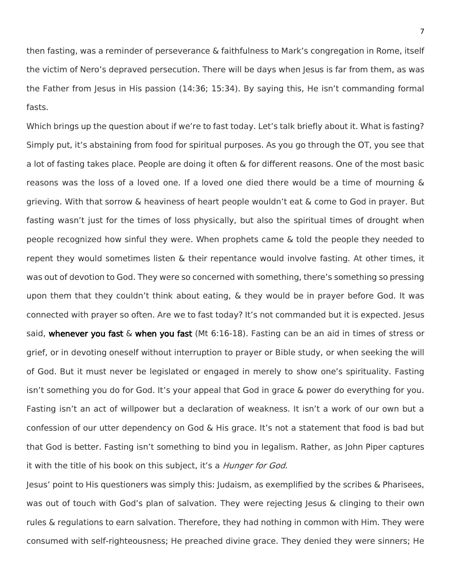then fasting, was a reminder of perseverance & faithfulness to Mark's congregation in Rome, itself the victim of Nero's depraved persecution. There will be days when Jesus is far from them, as was the Father from Jesus in His passion (14:36; 15:34). By saying this, He isn't commanding formal fasts.

Which brings up the question about if we're to fast today. Let's talk briefly about it. What is fasting? Simply put, it's abstaining from food for spiritual purposes. As you go through the OT, you see that a lot of fasting takes place. People are doing it often & for different reasons. One of the most basic reasons was the loss of a loved one. If a loved one died there would be a time of mourning & grieving. With that sorrow & heaviness of heart people wouldn't eat & come to God in prayer. But fasting wasn't just for the times of loss physically, but also the spiritual times of drought when people recognized how sinful they were. When prophets came & told the people they needed to repent they would sometimes listen & their repentance would involve fasting. At other times, it was out of devotion to God. They were so concerned with something, there's something so pressing upon them that they couldn't think about eating, & they would be in prayer before God. It was connected with prayer so often. Are we to fast today? It's not commanded but it is expected. Jesus said, whenever you fast & when you fast (Mt 6:16-18). Fasting can be an aid in times of stress or grief, or in devoting oneself without interruption to prayer or Bible study, or when seeking the will of God. But it must never be legislated or engaged in merely to show one's spirituality. Fasting isn't something you do for God. It's your appeal that God in grace & power do everything for you. Fasting isn't an act of willpower but a declaration of weakness. It isn't a work of our own but a confession of our utter dependency on God & His grace. It's not a statement that food is bad but that God is better. Fasting isn't something to bind you in legalism. Rather, as John Piper captures it with the title of his book on this subject, it's a *Hunger for God.* 

Jesus' point to His questioners was simply this: Judaism, as exemplified by the scribes & Pharisees, was out of touch with God's plan of salvation. They were rejecting Jesus & clinging to their own rules & regulations to earn salvation. Therefore, they had nothing in common with Him. They were consumed with self-righteousness; He preached divine grace. They denied they were sinners; He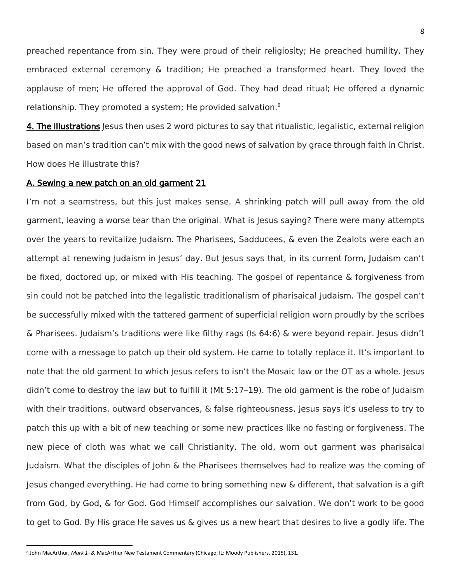preached repentance from sin. They were proud of their religiosity; He preached humility. They embraced external ceremony & tradition; He preached a transformed heart. They loved the applause of men; He offered the approval of God. They had dead ritual; He offered a dynamic relationship. They promoted a system; He provided salvation.<sup>8</sup>

4. The Illustrations Jesus then uses 2 word pictures to say that ritualistic, legalistic, external religion based on man's tradition can't mix with the good news of salvation by grace through faith in Christ. How does He illustrate this?

## A. Sewing a new patch on an old garment 21

I'm not a seamstress, but this just makes sense. A shrinking patch will pull away from the old garment, leaving a worse tear than the original. What is Jesus saying? There were many attempts over the years to revitalize Judaism. The Pharisees, Sadducees, & even the Zealots were each an attempt at renewing Judaism in Jesus' day. But Jesus says that, in its current form, Judaism can't be fixed, doctored up, or mixed with His teaching. The gospel of repentance & forgiveness from sin could not be patched into the legalistic traditionalism of pharisaical Judaism. The gospel can't be successfully mixed with the tattered garment of superficial religion worn proudly by the scribes & Pharisees. Judaism's traditions were like filthy rags (Is 64:6) & were beyond repair. Jesus didn't come with a message to patch up their old system. He came to totally replace it. It's important to note that the old garment to which Jesus refers to isn't the Mosaic law or the OT as a whole. Jesus didn't come to destroy the law but to fulfill it (Mt 5:17–19). The old garment is the robe of Judaism with their traditions, outward observances, & false righteousness. Jesus says it's useless to try to patch this up with a bit of new teaching or some new practices like no fasting or forgiveness. The new piece of cloth was what we call Christianity. The old, worn out garment was pharisaical Judaism. What the disciples of John & the Pharisees themselves had to realize was the coming of Jesus changed everything. He had come to bring something new & different, that salvation is a gift from God, by God, & for God. God Himself accomplishes our salvation. We don't work to be good to get to God. By His grace He saves us & gives us a new heart that desires to live a godly life. The

<sup>8</sup> John MacArthur, *Mark 1–8*, MacArthur New Testament Commentary (Chicago, IL: Moody Publishers, 2015), 131.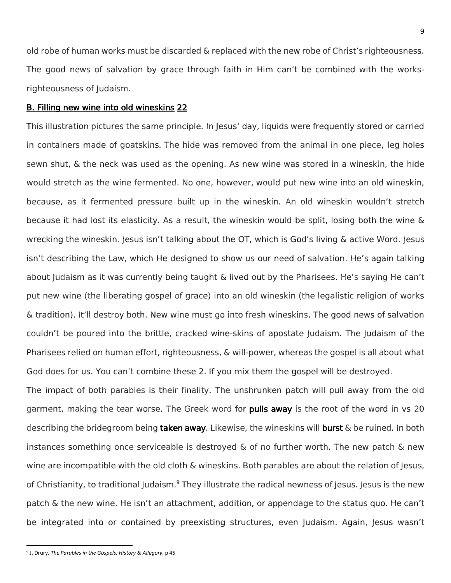old robe of human works must be discarded & replaced with the new robe of Christ's righteousness. The good news of salvation by grace through faith in Him can't be combined with the worksrighteousness of Judaism.

9

#### B. Filling new wine into old wineskins 22

This illustration pictures the same principle. In Jesus' day, liquids were frequently stored or carried in containers made of goatskins. The hide was removed from the animal in one piece, leg holes sewn shut, & the neck was used as the opening. As new wine was stored in a wineskin, the hide would stretch as the wine fermented. No one, however, would put new wine into an old wineskin, because, as it fermented pressure built up in the wineskin. An old wineskin wouldn't stretch because it had lost its elasticity. As a result, the wineskin would be split, losing both the wine & wrecking the wineskin. Jesus isn't talking about the OT, which is God's living  $\&$  active Word. Jesus isn't describing the Law, which He designed to show us our need of salvation. He's again talking about Judaism as it was currently being taught & lived out by the Pharisees. He's saying He can't put new wine (the liberating gospel of grace) into an old wineskin (the legalistic religion of works & tradition). It'll destroy both. New wine must go into fresh wineskins. The good news of salvation couldn't be poured into the brittle, cracked wine-skins of apostate Judaism. The Judaism of the Pharisees relied on human effort, righteousness, & will-power, whereas the gospel is all about what God does for us. You can't combine these 2. If you mix them the gospel will be destroyed.

The impact of both parables is their finality. The unshrunken patch will pull away from the old garment, making the tear worse. The Greek word for pulls away is the root of the word in vs 20 describing the bridegroom being **taken away**. Likewise, the wineskins will **burst**  $\&$  be ruined. In both instances something once serviceable is destroyed  $\&$  of no further worth. The new patch  $\&$  new wine are incompatible with the old cloth & wineskins. Both parables are about the relation of Jesus, of Christianity, to traditional Judaism.<sup>9</sup> They illustrate the radical newness of Jesus. Jesus is the new patch & the new wine. He isn't an attachment, addition, or appendage to the status quo. He can't be integrated into or contained by preexisting structures, even Judaism. Again, Jesus wasn't

<sup>9</sup> J. Drury, *The Parables in the Gospels: History & Allegory*, p 45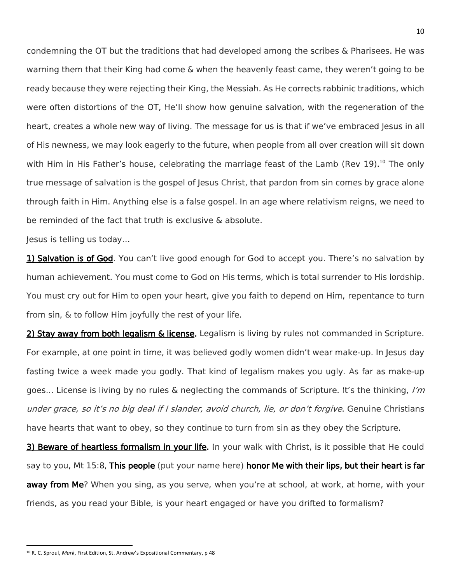condemning the OT but the traditions that had developed among the scribes & Pharisees. He was warning them that their King had come & when the heavenly feast came, they weren't going to be ready because they were rejecting their King, the Messiah. As He corrects rabbinic traditions, which were often distortions of the OT, He'll show how genuine salvation, with the regeneration of the heart, creates a whole new way of living. The message for us is that if we've embraced Jesus in all of His newness, we may look eagerly to the future, when people from all over creation will sit down with Him in His Father's house, celebrating the marriage feast of the Lamb (Rev 19).<sup>10</sup> The only true message of salvation is the gospel of Jesus Christ, that pardon from sin comes by grace alone through faith in Him. Anything else is a false gospel. In an age where relativism reigns, we need to be reminded of the fact that truth is exclusive & absolute.

Jesus is telling us today…

1) Salvation is of God. You can't live good enough for God to accept you. There's no salvation by human achievement. You must come to God on His terms, which is total surrender to His lordship. You must cry out for Him to open your heart, give you faith to depend on Him, repentance to turn from sin, & to follow Him joyfully the rest of your life.

2) Stay away from both legalism & license. Legalism is living by rules not commanded in Scripture. For example, at one point in time, it was believed godly women didn't wear make-up. In Jesus day fasting twice a week made you godly. That kind of legalism makes you ugly. As far as make-up goes... License is living by no rules & neglecting the commands of Scripture. It's the thinking,  $I'm$ under grace, so it's no big deal if I slander, avoid church, lie, or don't forgive. Genuine Christians have hearts that want to obey, so they continue to turn from sin as they obey the Scripture.

3) Beware of heartless formalism in your life. In your walk with Christ, is it possible that He could say to you, Mt 15:8, This people (put your name here) honor Me with their lips, but their heart is far away from Me? When you sing, as you serve, when you're at school, at work, at home, with your friends, as you read your Bible, is your heart engaged or have you drifted to formalism?

<sup>10</sup>

<sup>10</sup> R. C. Sproul, *Mark*, First Edition, St. Andrew's Expositional Commentary, p 48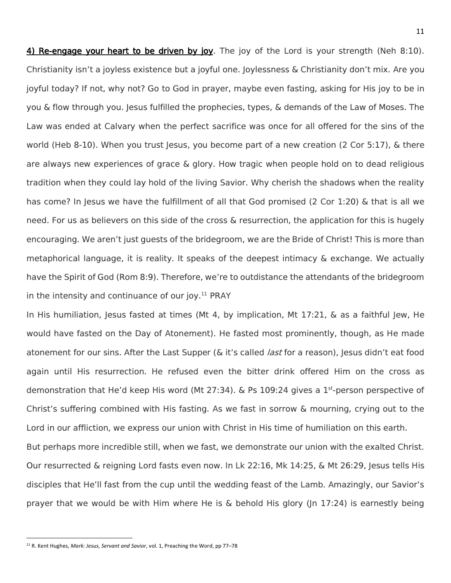4) Re-engage your heart to be driven by joy. The joy of the Lord is your strength (Neh 8:10). Christianity isn't a joyless existence but a joyful one. Joylessness & Christianity don't mix. Are you joyful today? If not, why not? Go to God in prayer, maybe even fasting, asking for His joy to be in you & flow through you. Jesus fulfilled the prophecies, types, & demands of the Law of Moses. The Law was ended at Calvary when the perfect sacrifice was once for all offered for the sins of the world (Heb 8-10). When you trust Jesus, you become part of a new creation (2 Cor 5:17), & there are always new experiences of grace & glory. How tragic when people hold on to dead religious tradition when they could lay hold of the living Savior. Why cherish the shadows when the reality has come? In Jesus we have the fulfillment of all that God promised (2 Cor 1:20) & that is all we need. For us as believers on this side of the cross & resurrection, the application for this is hugely encouraging. We aren't just guests of the bridegroom, we are the Bride of Christ! This is more than metaphorical language, it is reality. It speaks of the deepest intimacy & exchange. We actually have the Spirit of God (Rom 8:9). Therefore, we're to outdistance the attendants of the bridegroom in the intensity and continuance of our joy. $11$  PRAY

In His humiliation, Jesus fasted at times (Mt 4, by implication, Mt 17:21, & as a faithful Jew, He would have fasted on the Day of Atonement). He fasted most prominently, though, as He made atonement for our sins. After the Last Supper (& it's called *last* for a reason), Jesus didn't eat food again until His resurrection. He refused even the bitter drink offered Him on the cross as demonstration that He'd keep His word (Mt 27:34). & Ps 109:24 gives a 1<sup>st</sup>-person perspective of Christ's suffering combined with His fasting. As we fast in sorrow & mourning, crying out to the Lord in our affliction, we express our union with Christ in His time of humiliation on this earth. But perhaps more incredible still, when we fast, we demonstrate our union with the exalted Christ.

Our resurrected & reigning Lord fasts even now. In Lk 22:16, Mk 14:25, & Mt 26:29, Jesus tells His disciples that He'll fast from the cup until the wedding feast of the Lamb. Amazingly, our Savior's prayer that we would be with Him where He is & behold His glory (Jn 17:24) is earnestly being

<sup>11</sup> R. Kent Hughes, *Mark: Jesus, Servant and Savior*, vol. 1, Preaching the Word, pp 77–78